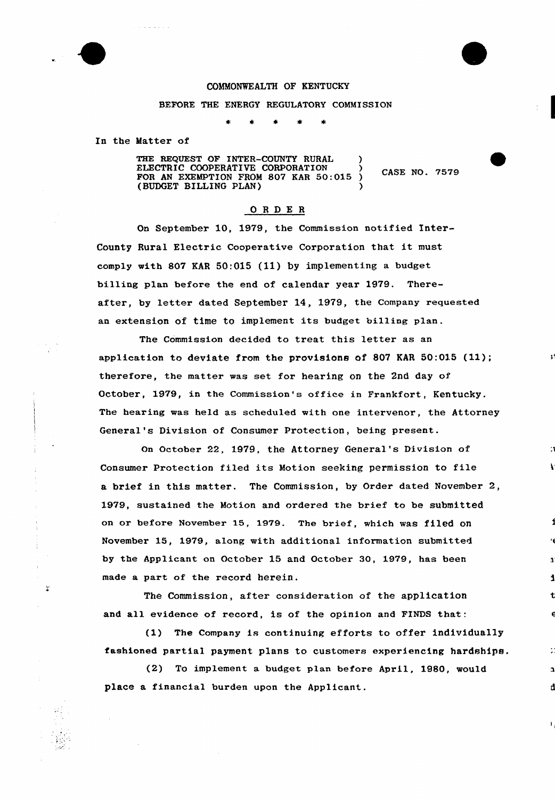

戈

## COMMONWEALTH OF KENTUCKY

## BEFORE THE ENERGY REGULATORY COMMISSION

In the Matter of

THE REQUEST OF INTER-COUNTY RURAL ELECTRIC COOPERATIVE CORPORATION (3)<br>FOR AN EXEMPTION FROM 807 KAR 50:015 ) CASE NO. 7579 (BUDGET BILLING PLAN) )

## 0RDE <sup>R</sup>

On September 10, 1979, the Commission notified Inter-County Rural Electric Cooperative Corporation that it must comply with 807 KAR 50:015 (11) by implementing a budget billing plan before the end of calendar year 1979. Thereafter, by letter dated September 14, 1979, the Company requested an extension of time to implement its budget billing plan.

The Commission decided to treat this letter as an application to deviate from the provisions of 807 KAR 50:015 (11); thexefore, the matter was set for hearing on the 2nd day of Octobex, 1979, in the Commission's office in Frankfort, Kentucky. The hearing was held as scheduled with one intexvenor, the Attorney General's Division of Consumer Protection, being present.

On Octabex 22, 1979, the Attorney General's Division of Consumer Pratection filed its Motion seeking permission to file a brief in this matter. The Commission, by Order dated November 2, 1979, sustained the Motion and ordered the brief to be submitted on or before November 15, 1979. The brief, which was filed on November 15, 1979, along with additional information submitted by the Applicant on October 15 and October 30, 1979, has been made a part of the record herein.

The Commission, after consideration of the application and all evidence of record, is of the opinion and FINDS that.

(1) The Company is continuing efforts to offer individually fashioned partial payment plans to customers experiencing hardships.

(2) To implement a budget plan before April, 1980, would place a financial burden upon the Applicant.